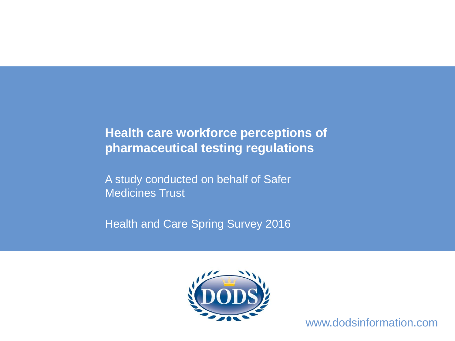# **Health care workforce perceptions of pharmaceutical testing regulations**

A study conducted on behalf of Safer Medicines Trust

Health and Care Spring Survey 2016



www.dodsinformation.com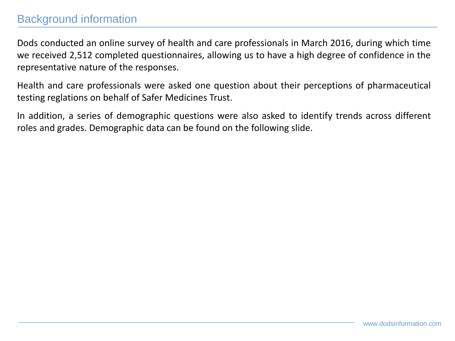## Background information

Dods conducted an online survey of health and care professionals in March 2016, during which time we received 2,512 completed questionnaires, allowing us to have a high degree of confidence in the representative nature of the responses.

Health and care professionals were asked one question about their perceptions of pharmaceutical testing reglations on behalf of Safer Medicines Trust.

In addition, a series of demographic questions were also asked to identify trends across different roles and grades. Demographic data can be found on the following slide.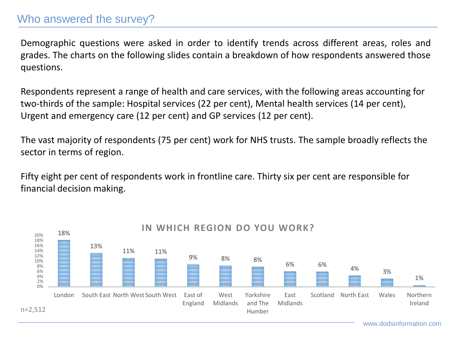#### Who answered the survey?

Demographic questions were asked in order to identify trends across different areas, roles and grades. The charts on the following slides contain a breakdown of how respondents answered those questions.

Respondents represent a range of health and care services, with the following areas accounting for two-thirds of the sample: Hospital services (22 per cent), Mental health services (14 per cent), Urgent and emergency care (12 per cent) and GP services (12 per cent).

The vast majority of respondents (75 per cent) work for NHS trusts. The sample broadly reflects the sector in terms of region.

Fifty eight per cent of respondents work in frontline care. Thirty six per cent are responsible for financial decision making.

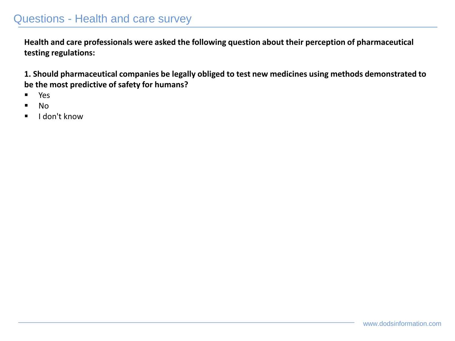### Questions - Health and care survey

**Health and care professionals were asked the following question about their perception of pharmaceutical testing regulations:**

**1. Should pharmaceutical companies be legally obliged to test new medicines using methods demonstrated to be the most predictive of safety for humans?**

- Yes
- No
- I don't know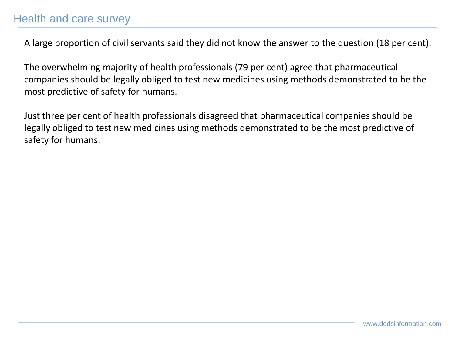A large proportion of civil servants said they did not know the answer to the question (18 per cent).

The overwhelming majority of health professionals (79 per cent) agree that pharmaceutical companies should be legally obliged to test new medicines using methods demonstrated to be the most predictive of safety for humans.

Just three per cent of health professionals disagreed that pharmaceutical companies should be legally obliged to test new medicines using methods demonstrated to be the most predictive of safety for humans.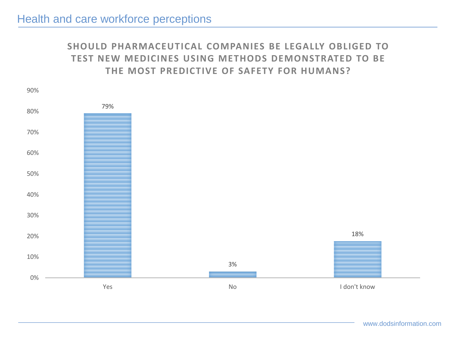#### **SHOULD PHARMACEUTICAL COMPANIES BE LEGALLY OBLIGED TO TEST NEW MEDICINES USING METHODS DEMONSTRATED TO BE THE MOST PREDICTIVE OF SAFETY FOR HUMANS?**